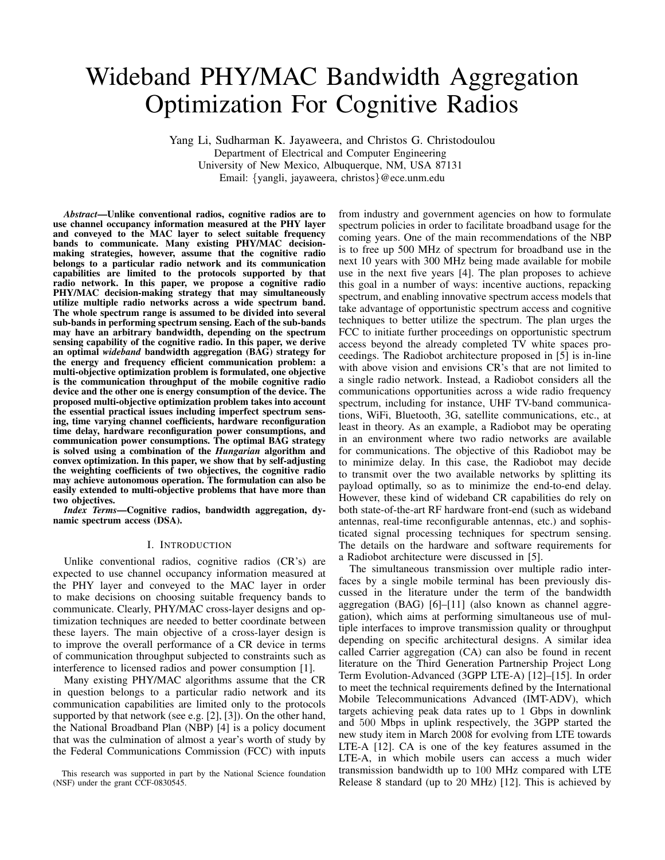# Wideband PHY/MAC Bandwidth Aggregation Optimization For Cognitive Radios

Yang Li, Sudharman K. Jayaweera, and Christos G. Christodoulou Department of Electrical and Computer Engineering University of New Mexico, Albuquerque, NM, USA 87131 Email: {yangli, jayaweera, christos}@ece.unm.edu

*Abstract*—Unlike conventional radios, cognitive radios are to use channel occupancy information measured at the PHY layer and conveyed to the MAC layer to select suitable frequency bands to communicate. Many existing PHY/MAC decisionmaking strategies, however, assume that the cognitive radio belongs to a particular radio network and its communication capabilities are limited to the protocols supported by that radio network. In this paper, we propose a cognitive radio PHY/MAC decision-making strategy that may simultaneously utilize multiple radio networks across a wide spectrum band. The whole spectrum range is assumed to be divided into several sub-bands in performing spectrum sensing. Each of the sub-bands may have an arbitrary bandwidth, depending on the spectrum sensing capability of the cognitive radio. In this paper, we derive an optimal *wideband* bandwidth aggregation (BAG) strategy for the energy and frequency efficient communication problem: a multi-objective optimization problem is formulated, one objective is the communication throughput of the mobile cognitive radio device and the other one is energy consumption of the device. The proposed multi-objective optimization problem takes into account the essential practical issues including imperfect spectrum sensing, time varying channel coefficients, hardware reconfiguration time delay, hardware reconfiguration power consumptions, and communication power consumptions. The optimal BAG strategy is solved using a combination of the *Hungarian* algorithm and convex optimization. In this paper, we show that by self-adjusting the weighting coefficients of two objectives, the cognitive radio may achieve autonomous operation. The formulation can also be easily extended to multi-objective problems that have more than two objectives.

*Index Terms*—Cognitive radios, bandwidth aggregation, dynamic spectrum access (DSA).

# I. INTRODUCTION

Unlike conventional radios, cognitive radios (CR's) are expected to use channel occupancy information measured at the PHY layer and conveyed to the MAC layer in order to make decisions on choosing suitable frequency bands to communicate. Clearly, PHY/MAC cross-layer designs and optimization techniques are needed to better coordinate between these layers. The main objective of a cross-layer design is to improve the overall performance of a CR device in terms of communication throughput subjected to constraints such as interference to licensed radios and power consumption [1].

Many existing PHY/MAC algorithms assume that the CR in question belongs to a particular radio network and its communication capabilities are limited only to the protocols supported by that network (see e.g. [2], [3]). On the other hand, the National Broadband Plan (NBP) [4] is a policy document that was the culmination of almost a year's worth of study by the Federal Communications Commission (FCC) with inputs from industry and government agencies on how to formulate spectrum policies in order to facilitate broadband usage for the coming years. One of the main recommendations of the NBP is to free up 500 MHz of spectrum for broadband use in the next 10 years with 300 MHz being made available for mobile use in the next five years [4]. The plan proposes to achieve this goal in a number of ways: incentive auctions, repacking spectrum, and enabling innovative spectrum access models that take advantage of opportunistic spectrum access and cognitive techniques to better utilize the spectrum. The plan urges the FCC to initiate further proceedings on opportunistic spectrum access beyond the already completed TV white spaces proceedings. The Radiobot architecture proposed in [5] is in-line with above vision and envisions CR's that are not limited to a single radio network. Instead, a Radiobot considers all the communications opportunities across a wide radio frequency spectrum, including for instance, UHF TV-band communications, WiFi, Bluetooth, 3G, satellite communications, etc., at least in theory. As an example, a Radiobot may be operating in an environment where two radio networks are available for communications. The objective of this Radiobot may be to minimize delay. In this case, the Radiobot may decide to transmit over the two available networks by splitting its payload optimally, so as to minimize the end-to-end delay. However, these kind of wideband CR capabilities do rely on both state-of-the-art RF hardware front-end (such as wideband antennas, real-time reconfigurable antennas, etc.) and sophisticated signal processing techniques for spectrum sensing. The details on the hardware and software requirements for a Radiobot architecture were discussed in [5].

The simultaneous transmission over multiple radio interfaces by a single mobile terminal has been previously discussed in the literature under the term of the bandwidth aggregation (BAG) [6]–[11] (also known as channel aggregation), which aims at performing simultaneous use of multiple interfaces to improve transmission quality or throughput depending on specific architectural designs. A similar idea called Carrier aggregation (CA) can also be found in recent literature on the Third Generation Partnership Project Long Term Evolution-Advanced (3GPP LTE-A) [12]–[15]. In order to meet the technical requirements defined by the International Mobile Telecommunications Advanced (IMT-ADV), which targets achieving peak data rates up to 1 Gbps in downlink and 500 Mbps in uplink respectively, the 3GPP started the new study item in March 2008 for evolving from LTE towards LTE-A [12]. CA is one of the key features assumed in the LTE-A, in which mobile users can access a much wider transmission bandwidth up to 100 MHz compared with LTE Release 8 standard (up to 20 MHz) [12]. This is achieved by

This research was supported in part by the National Science foundation (NSF) under the grant CCF-0830545.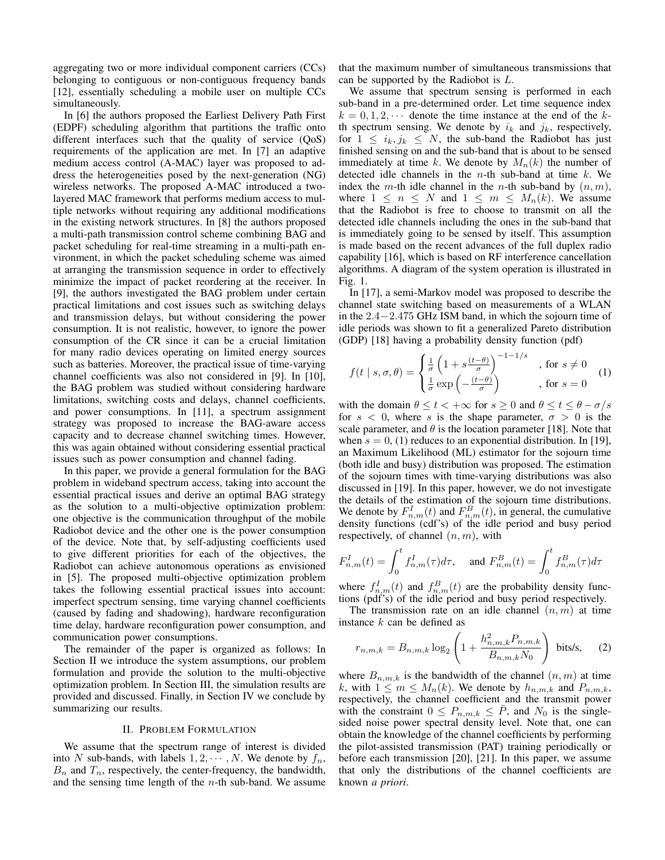aggregating two or more individual component carriers (CCs) belonging to contiguous or non-contiguous frequency bands [12], essentially scheduling a mobile user on multiple CCs simultaneously.

In [6] the authors proposed the Earliest Delivery Path First (EDPF) scheduling algorithm that partitions the traffic onto different interfaces such that the quality of service (QoS) requirements of the application are met. In [7] an adaptive medium access control (A-MAC) layer was proposed to address the heterogeneities posed by the next-generation (NG) wireless networks. The proposed A-MAC introduced a twolayered MAC framework that performs medium access to multiple networks without requiring any additional modifications in the existing network structures. In [8] the authors proposed a multi-path transmission control scheme combining BAG and packet scheduling for real-time streaming in a multi-path environment, in which the packet scheduling scheme was aimed at arranging the transmission sequence in order to effectively minimize the impact of packet reordering at the receiver. In [9], the authors investigated the BAG problem under certain practical limitations and cost issues such as switching delays and transmission delays, but without considering the power consumption. It is not realistic, however, to ignore the power consumption of the CR since it can be a crucial limitation for many radio devices operating on limited energy sources such as batteries. Moreover, the practical issue of time-varying channel coefficients was also not considered in [9]. In [10], the BAG problem was studied without considering hardware limitations, switching costs and delays, channel coefficients, and power consumptions. In [11], a spectrum assignment strategy was proposed to increase the BAG-aware access capacity and to decrease channel switching times. However, this was again obtained without considering essential practical issues such as power consumption and channel fading.

In this paper, we provide a general formulation for the BAG problem in wideband spectrum access, taking into account the essential practical issues and derive an optimal BAG strategy as the solution to a multi-objective optimization problem: one objective is the communication throughput of the mobile Radiobot device and the other one is the power consumption of the device. Note that, by self-adjusting coefficients used to give different priorities for each of the objectives, the Radiobot can achieve autonomous operations as envisioned in [5]. The proposed multi-objective optimization problem takes the following essential practical issues into account: imperfect spectrum sensing, time varying channel coefficients (caused by fading and shadowing), hardware reconfiguration time delay, hardware reconfiguration power consumption, and communication power consumptions.

The remainder of the paper is organized as follows: In Section II we introduce the system assumptions, our problem formulation and provide the solution to the multi-objective optimization problem. In Section III, the simulation results are provided and discussed. Finally, in Section IV we conclude by summarizing our results.

# II. PROBLEM FORMULATION

We assume that the spectrum range of interest is divided into N sub-bands, with labels  $1, 2, \dots, N$ . We denote by  $f_n$ ,  $B_n$  and  $T_n$ , respectively, the center-frequency, the bandwidth, and the sensing time length of the  $n$ -th sub-band. We assume that the maximum number of simultaneous transmissions that can be supported by the Radiobot is L.

We assume that spectrum sensing is performed in each sub-band in a pre-determined order. Let time sequence index  $k = 0, 1, 2, \cdots$  denote the time instance at the end of the kth spectrum sensing. We denote by  $i_k$  and  $j_k$ , respectively, for  $1 \leq i_k, j_k \leq N$ , the sub-band the Radiobot has just finished sensing on and the sub-band that is about to be sensed immediately at time k. We denote by  $M_n(k)$  the number of detected idle channels in the  $n$ -th sub-band at time  $k$ . We index the m-th idle channel in the n-th sub-band by  $(n, m)$ , where  $1 \leq n \leq N$  and  $1 \leq m \leq M_n(k)$ . We assume that the Radiobot is free to choose to transmit on all the detected idle channels including the ones in the sub-band that is immediately going to be sensed by itself. This assumption is made based on the recent advances of the full duplex radio capability [16], which is based on RF interference cancellation algorithms. A diagram of the system operation is illustrated in Fig. 1.

In [17], a semi-Markov model was proposed to describe the channel state switching based on measurements of a WLAN in the 2.4−2.475 GHz ISM band, in which the sojourn time of idle periods was shown to fit a generalized Pareto distribution (GDP) [18] having a probability density function (pdf)

$$
f(t \mid s, \sigma, \theta) = \begin{cases} \frac{1}{\sigma} \left( 1 + s \frac{(t - \theta)}{\sigma} \right)^{-1 - 1/s} & , \text{ for } s \neq 0 \\ \frac{1}{\sigma} \exp\left( -\frac{(t - \theta)}{\sigma} \right) & , \text{ for } s = 0 \end{cases}
$$
 (1)

with the domain  $\theta \le t < +\infty$  for  $s \ge 0$  and  $\theta \le t \le \theta - \sigma/s$ for  $s < 0$ , where s is the shape parameter,  $\sigma > 0$  is the scale parameter, and  $\theta$  is the location parameter [18]. Note that when  $s = 0$ , (1) reduces to an exponential distribution. In [19], an Maximum Likelihood (ML) estimator for the sojourn time (both idle and busy) distribution was proposed. The estimation of the sojourn times with time-varying distributions was also discussed in [19]. In this paper, however, we do not investigate the details of the estimation of the sojourn time distributions. We denote by  $F_{n,m}^I(t)$  and  $F_{n,m}^B(t)$ , in general, the cumulative density functions (cdf's) of the idle period and busy period respectively, of channel  $(n, m)$ , with

$$
F_{n,m}^I(t)=\int_0^t f_{n,m}^I(\tau)d\tau, \quad \text{ and } F_{n,m}^B(t)=\int_0^t f_{n,m}^B(\tau)d\tau
$$

where  $f_{n,m}^I(t)$  and  $f_{n,m}^B(t)$  are the probability density functions (pdf's) of the idle period and busy period respectively.

The transmission rate on an idle channel  $(n, m)$  at time instance  $k$  can be defined as

$$
r_{n,m,k} = B_{n,m,k} \log_2 \left( 1 + \frac{h_{n,m,k}^2 P_{n,m,k}}{B_{n,m,k} N_0} \right) \text{ bits/s}, \quad (2)
$$

where  $B_{n,m,k}$  is the bandwidth of the channel  $(n, m)$  at time k, with  $1 \leq m \leq M_n(k)$ . We denote by  $h_{n,m,k}$  and  $P_{n,m,k}$ , respectively, the channel coefficient and the transmit power with the constraint  $0 \leq P_{n,m,k} \leq \overline{P}$ , and  $N_0$  is the singlesided noise power spectral density level. Note that, one can obtain the knowledge of the channel coefficients by performing the pilot-assisted transmission (PAT) training periodically or before each transmission [20], [21]. In this paper, we assume that only the distributions of the channel coefficients are known *a priori*.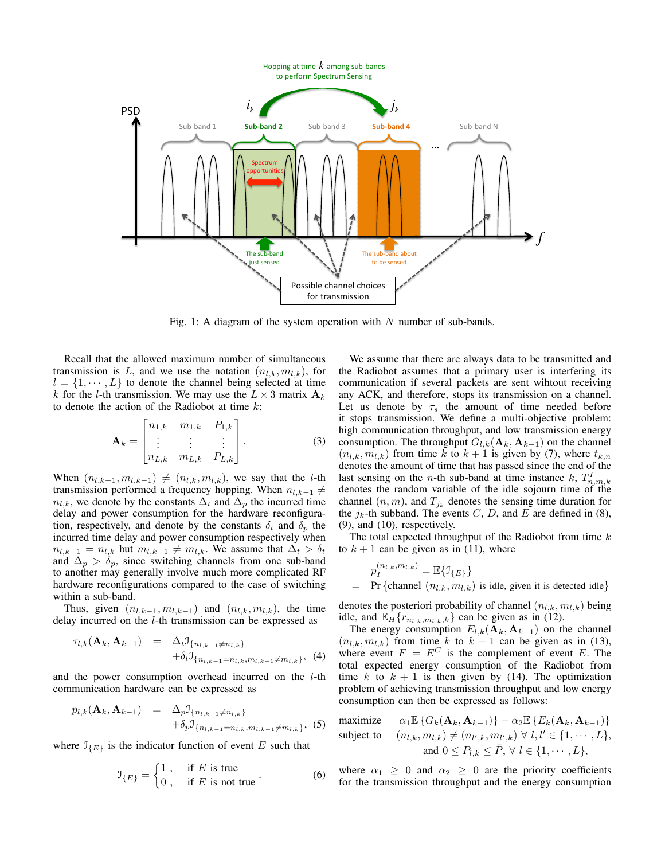

Fig. 1: A diagram of the system operation with  $N$  number of sub-bands.

Recall that the allowed maximum number of simultaneous transmission is L, and we use the notation  $(n_{l,k}, m_{l,k})$ , for  $l = \{1, \dots, L\}$  to denote the channel being selected at time k for the l-th transmission. We may use the  $L \times 3$  matrix  $A_k$ to denote the action of the Radiobot at time  $k$ :

$$
\mathbf{A}_{k} = \begin{bmatrix} n_{1,k} & m_{1,k} & P_{1,k} \\ \vdots & \vdots & \vdots \\ n_{L,k} & m_{L,k} & P_{L,k} \end{bmatrix} .
$$
 (3)

When  $(n_{l,k-1}, m_{l,k-1}) \neq (n_{l,k}, m_{l,k})$ , we say that the l-th transmission performed a frequency hopping. When  $n_{l,k-1} \neq$  $n_{l,k}$ , we denote by the constants  $\Delta_t$  and  $\Delta_p$  the incurred time delay and power consumption for the hardware reconfiguration, respectively, and denote by the constants  $\delta_t$  and  $\delta_p$  the incurred time delay and power consumption respectively when  $n_{l,k-1} = n_{l,k}$  but  $m_{l,k-1} \neq m_{l,k}$ . We assume that  $\Delta_t > \delta_t$ and  $\Delta_p > \delta_p$ , since switching channels from one sub-band to another may generally involve much more complicated RF hardware reconfigurations compared to the case of switching within a sub-band.

Thus, given  $(n_{l,k-1}, m_{l,k-1})$  and  $(n_{l,k}, m_{l,k})$ , the time delay incurred on the l-th transmission can be expressed as

$$
\tau_{l,k}(\mathbf{A}_k, \mathbf{A}_{k-1}) = \Delta_t \mathcal{I}_{\{n_{l,k-1} \neq n_{l,k}\}} \n+ \delta_t \mathcal{I}_{\{n_{l,k-1} = n_{l,k}, m_{l,k-1} \neq m_{l,k}\}}, \quad (4)
$$

and the power consumption overhead incurred on the  $l$ -th communication hardware can be expressed as

$$
p_{l,k}(\mathbf{A}_k, \mathbf{A}_{k-1}) = \Delta_p \mathcal{I}_{\{n_{l,k-1} \neq n_{l,k}\}} + \delta_p \mathcal{I}_{\{n_{l,k-1} = n_{l,k}, m_{l,k-1} \neq m_{l,k}\}}, \quad (5)
$$

where  $\mathcal{I}_{\{E\}}$  is the indicator function of event E such that

$$
\mathcal{I}_{\{E\}} = \begin{cases} 1, & \text{if } E \text{ is true} \\ 0, & \text{if } E \text{ is not true} \end{cases}
$$
 (6)

We assume that there are always data to be transmitted and the Radiobot assumes that a primary user is interfering its communication if several packets are sent wihtout receiving any ACK, and therefore, stops its transmission on a channel. Let us denote by  $\tau_s$  the amount of time needed before it stops transmission. We define a multi-objective problem: high communication throughput, and low transmission energy consumption. The throughput  $G_{l,k}(\mathbf{A}_k, \mathbf{A}_{k-1})$  on the channel  $(n_{l,k}, m_{l,k})$  from time k to  $k+1$  is given by (7), where  $t_{k,n}$ denotes the amount of time that has passed since the end of the last sensing on the *n*-th sub-band at time instance  $k$ ,  $T_{n,m,k}$ denotes the random variable of the idle sojourn time of the channel  $(n, m)$ , and  $T_{j_k}$  denotes the sensing time duration for the  $j_k$ -th subband. The events C, D, and E are defined in (8), (9), and (10), respectively.

The total expected throughput of the Radiobot from time  $k$ to  $k + 1$  can be given as in (11), where

$$
p_I^{(n_{l,k},m_{l,k})} = \mathbb{E}\{\mathfrak{I}_{\{E\}}\}
$$

= Pr {channel  $(n_{l,k}, m_{l,k})$  is idle, given it is detected idle}

denotes the posteriori probability of channel  $(n_{l,k}, m_{l,k})$  being idle, and  $\mathbb{E}_H\{r_{n_{l,k},m_{l,k},k}\}\)$  can be given as in (12).

The energy consumption  $E_{l,k}(\mathbf{A}_k, \mathbf{A}_{k-1})$  on the channel  $(n_{l,k}, m_{l,k})$  from time k to  $k + 1$  can be given as in (13), where event  $F = E^C$  is the complement of event E. The total expected energy consumption of the Radiobot from time k to  $k + 1$  is then given by (14). The optimization problem of achieving transmission throughput and low energy consumption can then be expressed as follows:

maximize 
$$
\alpha_1 \mathbb{E} \{ G_k(\mathbf{A}_k, \mathbf{A}_{k-1}) \} - \alpha_2 \mathbb{E} \{ E_k(\mathbf{A}_k, \mathbf{A}_{k-1}) \}
$$
  
subject to  $(n_{l,k}, m_{l,k}) \neq (n_{l',k}, m_{l',k}) \ \forall \ l, l' \in \{1, \dots, L\},$   
and  $0 \leq P_{l,k} \leq \bar{P}, \ \forall \ l \in \{1, \dots, L\},$ 

where  $\alpha_1 \geq 0$  and  $\alpha_2 \geq 0$  are the priority coefficients for the transmission throughput and the energy consumption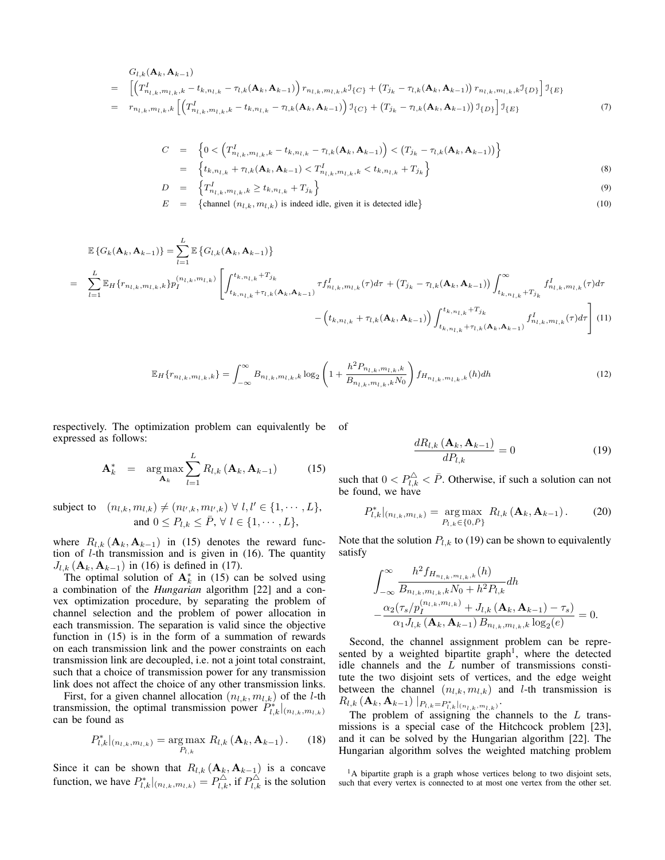$$
G_{l,k}(\mathbf{A}_{k}, \mathbf{A}_{k-1})
$$
\n
$$
= \left[ \left( T_{n_{l,k}, m_{l,k},k}^{I} - t_{k, n_{l,k}} - \tau_{l,k}(\mathbf{A}_{k}, \mathbf{A}_{k-1}) \right) r_{n_{l,k}, m_{l,k},k} \mathbb{I}_{\{C\}} + \left( T_{j_{k}} - \tau_{l,k}(\mathbf{A}_{k}, \mathbf{A}_{k-1}) \right) r_{n_{l,k}, m_{l,k},k} \mathbb{I}_{\{D\}} \right] \mathbb{I}_{\{E\}}
$$
\n
$$
= r_{n_{l,k}, m_{l,k},k} \left[ \left( T_{n_{l,k}, m_{l,k},k}^{I} - t_{k, n_{l,k}} - \tau_{l,k}(\mathbf{A}_{k}, \mathbf{A}_{k-1}) \right) \mathbb{I}_{\{C\}} + \left( T_{j_{k}} - \tau_{l,k}(\mathbf{A}_{k}, \mathbf{A}_{k-1}) \right) \mathbb{I}_{\{D\}} \right] \mathbb{I}_{\{E\}}
$$
\n
$$
(7)
$$

$$
C = \left\{ 0 < \left( T_{n_{l,k},m_{l,k},k}^{I} - t_{k,n_{l,k}} - \tau_{l,k}(\mathbf{A}_{k}, \mathbf{A}_{k-1}) \right) < \left( T_{j_{k}} - \tau_{l,k}(\mathbf{A}_{k}, \mathbf{A}_{k-1}) \right) \right\}
$$
  
= 
$$
\left\{ t_{k,n_{l,k}} + \tau_{l,k}(\mathbf{A}_{k}, \mathbf{A}_{k-1}) < T_{n_{l,k},m_{l,k},k}^{I} < t_{k,n_{l,k}} + T_{j_{k}} \right\}
$$
 (8)

$$
D = \left\{ T_{n_{l,k}, m_{l,k}, k}^{I} \ge t_{k, n_{l,k}} + T_{j_k} \right\}
$$
\n(9)

$$
E = \{channel (n_{l,k}, m_{l,k}) \text{ is indeed idle, given it is detected idle} \}
$$
\n
$$
(10)
$$

$$
\mathbb{E}\left\{G_{k}(\mathbf{A}_{k}, \mathbf{A}_{k-1})\right\} = \sum_{l=1}^{L} \mathbb{E}\left\{G_{l,k}(\mathbf{A}_{k}, \mathbf{A}_{k-1})\right\}
$$
\n
$$
= \sum_{l=1}^{L} \mathbb{E}_{H}\left\{r_{n_{l,k}, m_{l,k}, k}\right\} p_{I}^{(n_{l,k}, m_{l,k})} \left[\int_{t_{k, n_{l,k}} + \tau_{l,k}(\mathbf{A}_{k}, \mathbf{A}_{k-1})}^{t_{k, n_{l,k}} + \tau_{j_{k}}} \tau_{n_{l,k}, m_{l,k}}^{I}(\tau)d\tau + \left(T_{jk} - \tau_{l,k}(\mathbf{A}_{k}, \mathbf{A}_{k-1})\right)\int_{t_{k, n_{l,k}} + \tau_{j_{k}}}^{\infty} f_{n_{l,k}, m_{l,k}}^{I}(\tau)d\tau + \left(T_{jk} - \tau_{l,k}(\mathbf{A}_{k}, \mathbf{A}_{k-1})\right)\int_{t_{k, n_{l,k}} + \tau_{j_{k}}}^{\infty} f_{n_{l,k}, m_{l,k}}^{I}(\tau)d\tau + \left(T_{jk} - \tau_{l,k}(\mathbf{A}_{k}, \mathbf{A}_{k-1})\right)\int_{t_{k, n_{l,k}} + \tau_{l,k}(\mathbf{A}_{k}, \mathbf{A}_{k-1})}^{t_{k, n_{l,k}} + \tau_{j_{k}}} f_{n_{l,k}, m_{l,k}}^{I}(\tau)d\tau \right]
$$
\n(11)

$$
\mathbb{E}_{H}\{r_{n_{l,k},m_{l,k},k}\} = \int_{-\infty}^{\infty} B_{n_{l,k},m_{l,k},k} \log_2 \left(1 + \frac{h^2 P_{n_{l,k},m_{l,k},k}}{B_{n_{l,k},m_{l,k},k} N_0}\right) f_{H_{n_{l,k},m_{l,k},k}}(h) dh \tag{12}
$$

respectively. The optimization problem can equivalently be expressed as follows: of

$$
\mathbf{A}_{k}^{*} = \arg \max \limits_{\mathbf{A}_{k}} \sum_{l=1}^{L} R_{l,k} \left( \mathbf{A}_{k}, \mathbf{A}_{k-1} \right) \quad (15)
$$

subject to  $(n_{l,k}, m_{l,k}) \neq (n_{l',k}, m_{l',k}) \ \forall \ l, l' \in \{1, \cdots, L\},$ and  $0 \leq P_{l,k} \leq \overline{P}, \forall l \in \{1, \cdots, L\},\$ 

where  $R_{l,k}(\mathbf{A}_k, \mathbf{A}_{k-1})$  in (15) denotes the reward function of  $l$ -th transmission and is given in (16). The quantity  $J_{l,k}$  ( $\mathbf{A}_k$ ,  $\mathbf{A}_{k-1}$ ) in (16) is defined in (17).

The optimal solution of  $A_k^*$  in (15) can be solved using a combination of the *Hungarian* algorithm [22] and a convex optimization procedure, by separating the problem of channel selection and the problem of power allocation in each transmission. The separation is valid since the objective function in (15) is in the form of a summation of rewards on each transmission link and the power constraints on each transmission link are decoupled, i.e. not a joint total constraint, such that a choice of transmission power for any transmission link does not affect the choice of any other transmission links.

First, for a given channel allocation  $(n_{l,k}, m_{l,k})$  of the *l*-th transmission, the optimal transmission power  $P_{l,k}^{*}|_{(n_{l,k},m_{l,k})}$ can be found as

$$
P_{l,k}^{*}|_{(n_{l,k},m_{l,k})} = \underset{P_{l,k}}{\text{arg}\max} R_{l,k} \left( \mathbf{A}_{k}, \mathbf{A}_{k-1} \right). \tag{18}
$$

Since it can be shown that  $R_{l,k}(\mathbf{A}_k, \mathbf{A}_{k-1})$  is a concave function, we have  $P_{l,k}^{*}|_{(n_{l,k},m_{l,k})} = P_{l,k}^{\triangle}$ , if  $P_{l,k}^{\triangle}$  is the solution

$$
\frac{dR_{l,k}\left(\mathbf{A}_{k},\mathbf{A}_{k-1}\right)}{dP_{l,k}}=0\tag{19}
$$

such that  $0 < P_{l,k}^{\triangle} < \bar{P}$ . Otherwise, if such a solution can not be found, we have

$$
P_{l,k}^{*}|_{(n_{l,k},m_{l,k})} = \underset{P_{l,k} \in \{0,\bar{P}\}}{\arg \max} R_{l,k} \left( \mathbf{A}_{k}, \mathbf{A}_{k-1} \right). \tag{20}
$$

Note that the solution  $P_{l,k}$  to (19) can be shown to equivalently satisfy

$$
\int_{-\infty}^{\infty} \frac{h^2 f_{H_{n_{l,k},m_{l,k},k}}(h)}{B_{n_{l,k},m_{l,k},k} N_0 + h^2 P_{l,k}} dh
$$

$$
-\frac{\alpha_2(\tau_s/p_l^{(n_{l,k},m_{l,k})} + J_{l,k}(\mathbf{A}_k, \mathbf{A}_{k-1}) - \tau_s)}{\alpha_1 J_{l,k}(\mathbf{A}_k, \mathbf{A}_{k-1}) B_{n_{l,k},m_{l,k},k} \log_2(e)} = 0.
$$

Second, the channel assignment problem can be represented by a weighted bipartite graph<sup>1</sup>, where the detected idle channels and the  $L$  number of transmissions constitute the two disjoint sets of vertices, and the edge weight between the channel  $(n_{l,k}, m_{l,k})$  and *l*-th transmission is  $R_{l,k}\left(\mathbf{A}_k,\mathbf{A}_{k-1}\right)|_{P_{l,k}=P_{l,k}^*|_{(n_{l,k},m_{l,k})}}.$ 

The problem of assigning the channels to the  $L$  transmissions is a special case of the Hitchcock problem [23], and it can be solved by the Hungarian algorithm [22]. The Hungarian algorithm solves the weighted matching problem

<sup>1</sup>A bipartite graph is a graph whose vertices belong to two disjoint sets, such that every vertex is connected to at most one vertex from the other set.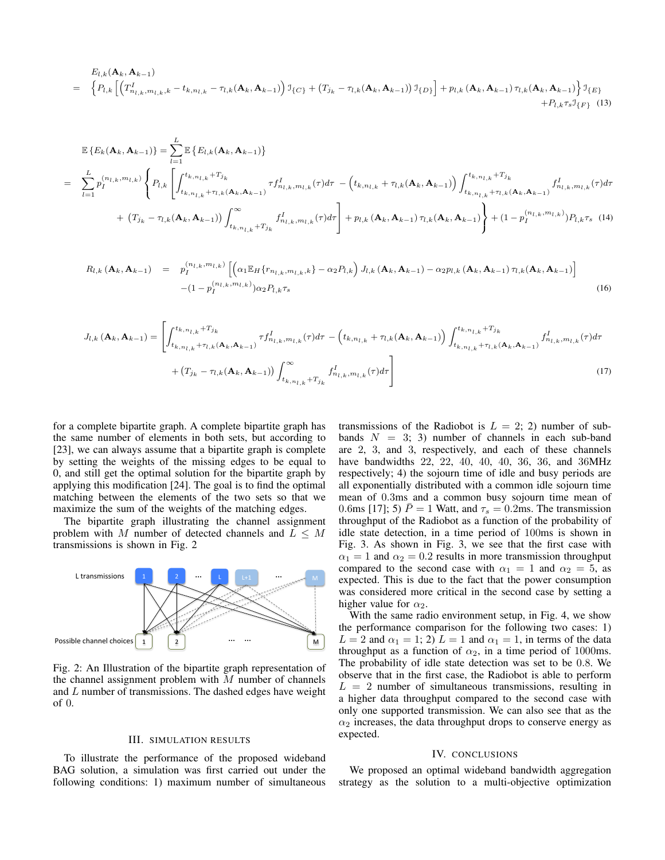$$
E_{l,k}(\mathbf{A}_{k}, \mathbf{A}_{k-1}) = \left\{ P_{l,k} \left[ \left( T_{n_{l,k}, m_{l,k},k}^{I} - t_{k,n_{l,k}} - \tau_{l,k}(\mathbf{A}_{k}, \mathbf{A}_{k-1}) \right) \mathbb{I}_{\{C\}} + \left( T_{j_{k}} - \tau_{l,k}(\mathbf{A}_{k}, \mathbf{A}_{k-1}) \right) \mathbb{I}_{\{D\}} \right] + p_{l,k}(\mathbf{A}_{k}, \mathbf{A}_{k-1}) \tau_{l,k}(\mathbf{A}_{k}, \mathbf{A}_{k-1}) \right\} \mathbb{I}_{\{E\}} + P_{l,k} \tau_{s} \mathbb{I}_{\{F\}} \tag{13}
$$

$$
\mathbb{E}\left\{E_{k}(\mathbf{A}_{k}, \mathbf{A}_{k-1})\right\} = \sum_{l=1}^{L} \mathbb{E}\left\{E_{l,k}(\mathbf{A}_{k}, \mathbf{A}_{k-1})\right\}
$$
\n
$$
= \sum_{l=1}^{L} p_{I}^{(n_{l,k}, m_{l,k})} \left\{ P_{l,k} \left[ \int_{t_{k, n_{l,k}} + \tau_{l,k}(\mathbf{A}_{k}, \mathbf{A}_{k-1})}^{t_{k, n_{l,k}} + \tau_{j_{k}}} \tau_{j_{n_{l,k}}, m_{l,k}}^{H}(\tau) d\tau - \left(t_{k, n_{l,k}} + \tau_{l,k}(\mathbf{A}_{k}, \mathbf{A}_{k-1})\right) \int_{t_{k, n_{l,k}} + \tau_{l,k}(\mathbf{A}_{k}, \mathbf{A}_{k-1})}^{t_{k, n_{l,k}} + \tau_{j_{k}}} f_{n_{l,k}, m_{l,k}}^{H}(\tau) d\tau + \left(T_{j_{k}} - \tau_{l,k}(\mathbf{A}_{k}, \mathbf{A}_{k-1})\right) \int_{t_{k, n_{l,k}} + \tau_{j_{k}}}^{t_{k}} f_{n_{l,k}, m_{l,k}}^{H}(\tau) d\tau \right\} + p_{l,k}(\mathbf{A}_{k}, \mathbf{A}_{k-1}) \tau_{l,k}(\mathbf{A}_{k}, \mathbf{A}_{k-1}) \right\} + (1 - p_{I}^{(n_{l,k}, m_{l,k})}) P_{l,k} \tau_{s} \quad (14)
$$

$$
R_{l,k}(\mathbf{A}_{k}, \mathbf{A}_{k-1}) = p_{I}^{(n_{l,k}, m_{l,k})} \left[ \left( \alpha_{1} \mathbb{E}_{H} \{ r_{n_{l,k}, m_{l,k}, k} \} - \alpha_{2} P_{l,k} \right) J_{l,k}(\mathbf{A}_{k}, \mathbf{A}_{k-1}) - \alpha_{2} p_{l,k}(\mathbf{A}_{k}, \mathbf{A}_{k-1}) \, \tau_{l,k}(\mathbf{A}_{k}, \mathbf{A}_{k-1}) \right] - (1 - p_{I}^{(n_{l,k}, m_{l,k})}) \alpha_{2} P_{l,k} \tau_{s}
$$
\n
$$
(16)
$$

$$
J_{l,k}(\mathbf{A}_{k}, \mathbf{A}_{k-1}) = \left[ \int_{t_{k,n_{l,k}} + \tau_{l,k}(\mathbf{A}_{k}, \mathbf{A}_{k-1})}^{t_{k,n_{l,k}} + T_{j_k}} \tau f_{n_{l,k}, m_{l,k}}^I(\tau) d\tau - \left( t_{k,n_{l,k}} + \tau_{l,k}(\mathbf{A}_{k}, \mathbf{A}_{k-1}) \right) \int_{t_{k,n_{l,k}} + \tau_{l,k}(\mathbf{A}_{k}, \mathbf{A}_{k-1})}^{t_{k,n_{l,k}} + T_{j_k}} f_{n_{l,k}, m_{l,k}}^I(\tau) d\tau + \left( T_{j_k} - \tau_{l,k}(\mathbf{A}_{k}, \mathbf{A}_{k-1}) \right) \int_{t_{k,n_{l,k}} + T_{j_k}}^{\infty} f_{n_{l,k}, m_{l,k}}^I(\tau) d\tau \right]
$$
(17)

for a complete bipartite graph. A complete bipartite graph has the same number of elements in both sets, but according to [23], we can always assume that a bipartite graph is complete by setting the weights of the missing edges to be equal to 0, and still get the optimal solution for the bipartite graph by applying this modification [24]. The goal is to find the optimal matching between the elements of the two sets so that we maximize the sum of the weights of the matching edges.

The bipartite graph illustrating the channel assignment problem with M number of detected channels and  $L \leq M$ transmissions is shown in Fig. 2



Fig. 2: An Illustration of the bipartite graph representation of the channel assignment problem with  $M$  number of channels and L number of transmissions. The dashed edges have weight of 0.

## III. SIMULATION RESULTS

To illustrate the performance of the proposed wideband BAG solution, a simulation was first carried out under the following conditions: 1) maximum number of simultaneous transmissions of the Radiobot is  $L = 2$ ; 2) number of subbands  $N = 3$ ; 3) number of channels in each sub-band are 2, 3, and 3, respectively, and each of these channels have bandwidths 22, 22, 40, 40, 40, 36, 36, and 36MHz respectively; 4) the sojourn time of idle and busy periods are all exponentially distributed with a common idle sojourn time mean of 0.3ms and a common busy sojourn time mean of 0.6ms [17]; 5)  $\overline{P} = 1$  Watt, and  $\tau_s = 0.2$ ms. The transmission throughput of the Radiobot as a function of the probability of idle state detection, in a time period of 100ms is shown in Fig. 3. As shown in Fig. 3, we see that the first case with  $\alpha_1 = 1$  and  $\alpha_2 = 0.2$  results in more transmission throughput compared to the second case with  $\alpha_1 = 1$  and  $\alpha_2 = 5$ , as expected. This is due to the fact that the power consumption was considered more critical in the second case by setting a higher value for  $\alpha_2$ .

With the same radio environment setup, in Fig. 4, we show the performance comparison for the following two cases: 1)  $L = 2$  and  $\alpha_1 = 1$ ; 2)  $L = 1$  and  $\alpha_1 = 1$ , in terms of the data throughput as a function of  $\alpha_2$ , in a time period of 1000ms. The probability of idle state detection was set to be 0.8. We observe that in the first case, the Radiobot is able to perform  $L = 2$  number of simultaneous transmissions, resulting in a higher data throughput compared to the second case with only one supported transmission. We can also see that as the  $\alpha_2$  increases, the data throughput drops to conserve energy as expected.

### IV. CONCLUSIONS

We proposed an optimal wideband bandwidth aggregation strategy as the solution to a multi-objective optimization